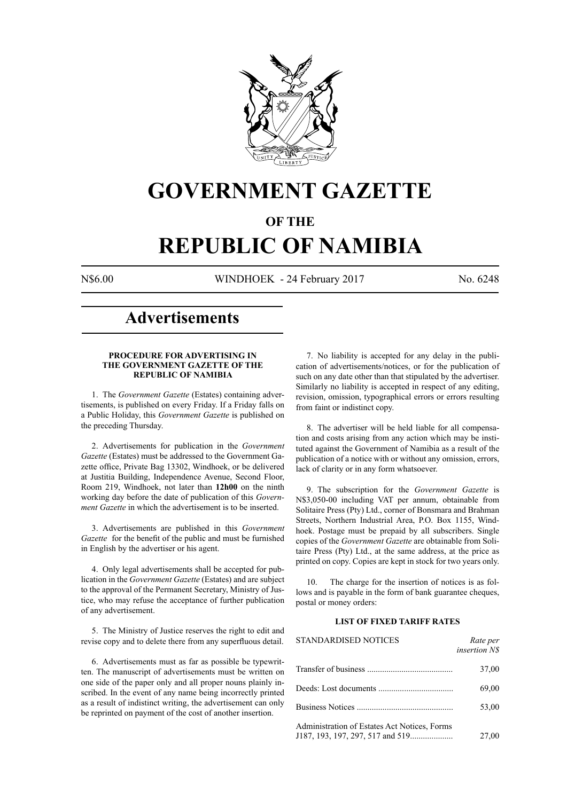

# **GOVERNMENT GAZETTE**

### **OF THE**

# **REPUBLIC OF NAMIBIA**

N\$6.00 WINDHOEK - 24 February 2017 No. 6248

## **Advertisements**

#### **PROCEDURE FOR ADVERTISING IN THE GOVERNMENT GAZETTE OF THE REPUBLIC OF NAMIBIA**

1. The *Government Gazette* (Estates) containing advertisements, is published on every Friday. If a Friday falls on a Public Holiday, this *Government Gazette* is published on the preceding Thursday.

2. Advertisements for publication in the *Government Gazette* (Estates) must be addressed to the Government Gazette office, Private Bag 13302, Windhoek, or be delivered at Justitia Building, Independence Avenue, Second Floor, Room 219, Windhoek, not later than **12h00** on the ninth working day before the date of publication of this *Government Gazette* in which the advertisement is to be inserted.

3. Advertisements are published in this *Government Gazette* for the benefit of the public and must be furnished in English by the advertiser or his agent.

4. Only legal advertisements shall be accepted for publication in the *Government Gazette* (Estates) and are subject to the approval of the Permanent Secretary, Ministry of Justice, who may refuse the acceptance of further publication of any advertisement.

5. The Ministry of Justice reserves the right to edit and revise copy and to delete there from any superfluous detail.

6. Advertisements must as far as possible be typewritten. The manuscript of advertisements must be written on one side of the paper only and all proper nouns plainly inscribed. In the event of any name being incorrectly printed as a result of indistinct writing, the advertisement can only be reprinted on payment of the cost of another insertion.

7. No liability is accepted for any delay in the publication of advertisements/notices, or for the publication of such on any date other than that stipulated by the advertiser. Similarly no liability is accepted in respect of any editing, revision, omission, typographical errors or errors resulting from faint or indistinct copy.

8. The advertiser will be held liable for all compensation and costs arising from any action which may be instituted against the Government of Namibia as a result of the publication of a notice with or without any omission, errors, lack of clarity or in any form whatsoever.

9. The subscription for the *Government Gazette* is N\$3,050-00 including VAT per annum, obtainable from Solitaire Press (Pty) Ltd., corner of Bonsmara and Brahman Streets, Northern Industrial Area, P.O. Box 1155, Windhoek. Postage must be prepaid by all subscribers. Single copies of the *Government Gazette* are obtainable from Solitaire Press (Pty) Ltd., at the same address, at the price as printed on copy. Copies are kept in stock for two years only.

10. The charge for the insertion of notices is as follows and is payable in the form of bank guarantee cheques, postal or money orders:

#### **LIST OF FIXED TARIFF RATES**

| <b>STANDARDISED NOTICES</b>                  | Rate per<br><i>insertion NS</i> |
|----------------------------------------------|---------------------------------|
|                                              | 37,00                           |
|                                              | 69,00                           |
|                                              | 53,00                           |
| Administration of Estates Act Notices, Forms | 27,00                           |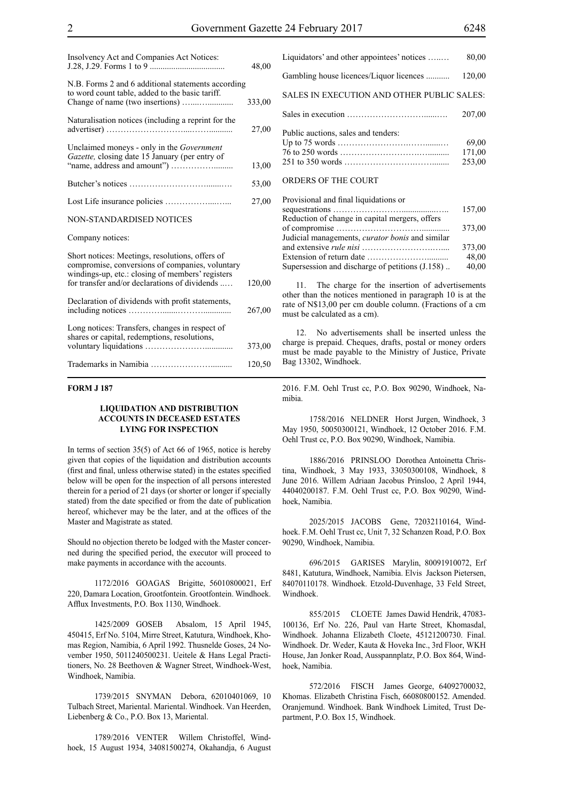| Insolvency Act and Companies Act Notices:                                                                                                                                                               | 48,00  |
|---------------------------------------------------------------------------------------------------------------------------------------------------------------------------------------------------------|--------|
| N.B. Forms 2 and 6 additional statements according<br>to word count table, added to the basic tariff.                                                                                                   | 333,00 |
| Naturalisation notices (including a reprint for the                                                                                                                                                     | 27,00  |
| Unclaimed moneys - only in the Government<br>Gazette, closing date 15 January (per entry of                                                                                                             | 13,00  |
|                                                                                                                                                                                                         | 53,00  |
|                                                                                                                                                                                                         | 27,00  |
| NON-STANDARDISED NOTICES                                                                                                                                                                                |        |
| Company notices:                                                                                                                                                                                        |        |
| Short notices: Meetings, resolutions, offers of<br>compromise, conversions of companies, voluntary<br>windings-up, etc.: closing of members' registers<br>for transfer and/or declarations of dividends | 120,00 |
| Declaration of dividends with profit statements,                                                                                                                                                        | 267,00 |
| Long notices: Transfers, changes in respect of<br>shares or capital, redemptions, resolutions,                                                                                                          | 373,00 |
|                                                                                                                                                                                                         | 120,50 |

#### **FORM J 187**

#### **LIQUIDATION AND DISTRIBUTION ACCOUNTS IN DECEASED ESTATES LYING FOR INSPECTION**

In terms of section 35(5) of Act 66 of 1965, notice is hereby given that copies of the liquidation and distribution accounts (first and final, unless otherwise stated) in the estates specified below will be open for the inspection of all persons interested therein for a period of 21 days (or shorter or longer if specially stated) from the date specified or from the date of publication hereof, whichever may be the later, and at the offices of the Master and Magistrate as stated.

Should no objection thereto be lodged with the Master concerned during the specified period, the executor will proceed to make payments in accordance with the accounts.

1172/2016 GOAGAS Brigitte, 56010800021, Erf 220, Damara Location, Grootfontein. Grootfontein. Windhoek. Afflux Investments, P.O. Box 1130, Windhoek.

1425/2009 GOSEB Absalom, 15 April 1945, 450415, Erf No. 5104, Mirre Street, Katutura, Windhoek, Khomas Region, Namibia, 6 April 1992. Thusnelde Goses, 24 November 1950, 5011240500231. Ueitele & Hans Legal Practitioners, No. 28 Beethoven & Wagner Street, Windhoek-West, Windhoek, Namibia.

1739/2015 SNYMAN Debora, 62010401069, 10 Tulbach Street, Mariental. Mariental. Windhoek. Van Heerden, Liebenberg & Co., P.O. Box 13, Mariental.

1789/2016 VENTER Willem Christoffel, Windhoek, 15 August 1934, 34081500274, Okahandja, 6 August Liquidators' and other appointees' notices …..… 80,00 Gambling house licences/Liquor licences ........... 120,00 SALES IN EXECUTION AND OTHER PUBLIC SALES: Sales in execution ………………………......…. 207,00 Public auctions, sales and tenders: Up to 75 words …………………….…….......… 69,00 76 to 250 words ……………………….….......... 171,00 251 to 350 words …………………….……........ 253,00 ORDERS OF THE COURT

#### Provisional and final liquidations or sequestrations ……………………................….. 157,00 Reduction of change in capital mergers, offers of compromise …………………………............. 373,00 Judicial managements, *curator bonis* and similar and extensive *rule nisi* …………………….….... 373,00 Extension of return date ………………….......... 48,00 Supersession and discharge of petitions  $(J.158)$ ..  $40,00$

The charge for the insertion of advertisements other than the notices mentioned in paragraph 10 is at the rate of N\$13,00 per cm double column. (Fractions of a cm must be calculated as a cm).

12. No advertisements shall be inserted unless the charge is prepaid. Cheques, drafts, postal or money orders must be made payable to the Ministry of Justice, Private Bag 13302, Windhoek.

2016. F.M. Oehl Trust cc, P.O. Box 90290, Windhoek, Namibia.

1758/2016 NELDNER Horst Jurgen, Windhoek, 3 May 1950, 50050300121, Windhoek, 12 October 2016. F.M. Oehl Trust cc, P.O. Box 90290, Windhoek, Namibia.

1886/2016 PRINSLOO Dorothea Antoinetta Christina, Windhoek, 3 May 1933, 33050300108, Windhoek, 8 June 2016. Willem Adriaan Jacobus Prinsloo, 2 April 1944, 44040200187. F.M. Oehl Trust cc, P.O. Box 90290, Windhoek, Namibia.

2025/2015 JACOBS Gene, 72032110164, Windhoek. F.M. Oehl Trust cc, Unit 7, 32 Schanzen Road, P.O. Box 90290, Windhoek, Namibia.

696/2015 GARISES Marylin, 80091910072, Erf 8481, Katutura, Windhoek, Namibia. Elvis Jackson Pietersen, 84070110178. Windhoek. Etzold-Duvenhage, 33 Feld Street, Windhoek.

855/2015 CLOETE James Dawid Hendrik, 47083- 100136, Erf No. 226, Paul van Harte Street, Khomasdal, Windhoek. Johanna Elizabeth Cloete, 45121200730. Final. Windhoek. Dr. Weder, Kauta & Hoveka Inc., 3rd Floor, WKH House, Jan Jonker Road, Ausspannplatz, P.O. Box 864, Windhoek, Namibia.

572/2016 FISCH James George, 64092700032, Khomas. Elizabeth Christina Fisch, 66080800152. Amended. Oranjemund. Windhoek. Bank Windhoek Limited, Trust Department, P.O. Box 15, Windhoek.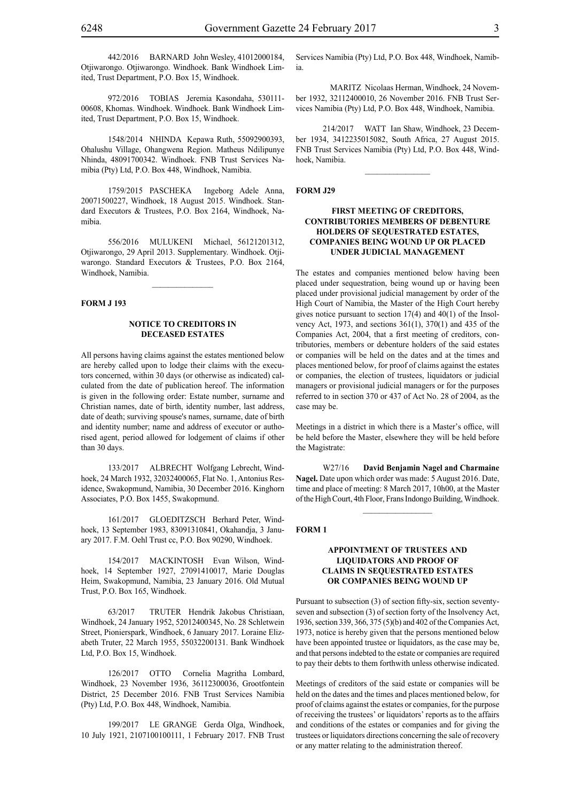442/2016 BARNARD John Wesley, 41012000184, Otjiwarongo. Otjiwarongo. Windhoek. Bank Windhoek Limited, Trust Department, P.O. Box 15, Windhoek.

972/2016 TOBIAS Jeremia Kasondaha, 530111- 00608, Khomas. Windhoek. Windhoek. Bank Windhoek Limited, Trust Department, P.O. Box 15, Windhoek.

1548/2014 NHINDA Kepawa Ruth, 55092900393, Ohalushu Village, Ohangwena Region. Matheus Ndilipunye Nhinda, 48091700342. Windhoek. FNB Trust Services Namibia (Pty) Ltd, P.O. Box 448, Windhoek, Namibia.

1759/2015 PASCHEKA Ingeborg Adele Anna, 20071500227, Windhoek, 18 August 2015. Windhoek. Standard Executors & Trustees, P.O. Box 2164, Windhoek, Namibia.

556/2016 MULUKENI Michael, 56121201312, Otjiwarongo, 29 April 2013. Supplementary. Windhoek. Otjiwarongo. Standard Executors & Trustees, P.O. Box 2164, Windhoek, Namibia.

 $\frac{1}{2}$ 

#### **FORM J 193**

#### **NOTICE TO CREDITORS IN DECEASED ESTATES**

All persons having claims against the estates mentioned below are hereby called upon to lodge their claims with the executors concerned, within 30 days (or otherwise as indicated) calculated from the date of publication hereof. The information is given in the following order: Estate number, surname and Christian names, date of birth, identity number, last address, date of death; surviving spouse's names, surname, date of birth and identity number; name and address of executor or authorised agent, period allowed for lodgement of claims if other than 30 days.

133/2017 ALBRECHT Wolfgang Lebrecht, Windhoek, 24 March 1932, 32032400065, Flat No. 1, Antonius Residence, Swakopmund, Namibia, 30 December 2016. Kinghorn Associates, P.O. Box 1455, Swakopmund.

161/2017 GLOEDITZSCH Berhard Peter, Windhoek, 13 September 1983, 83091310841, Okahandja, 3 January 2017. F.M. Oehl Trust cc, P.O. Box 90290, Windhoek.

154/2017 MACKINTOSH Evan Wilson, Windhoek, 14 September 1927, 27091410017, Marie Douglas Heim, Swakopmund, Namibia, 23 January 2016. Old Mutual Trust, P.O. Box 165, Windhoek.

63/2017 TRUTER Hendrik Jakobus Christiaan, Windhoek, 24 January 1952, 52012400345, No. 28 Schletwein Street, Pionierspark, Windhoek, 6 January 2017. Loraine Elizabeth Truter, 22 March 1955, 55032200131. Bank Windhoek Ltd, P.O. Box 15, Windhoek.

126/2017 OTTO Cornelia Magritha Lombard, Windhoek, 23 November 1936, 36112300036, Grootfontein District, 25 December 2016. FNB Trust Services Namibia (Pty) Ltd, P.O. Box 448, Windhoek, Namibia.

199/2017 LE GRANGE Gerda Olga, Windhoek, 10 July 1921, 2107100100111, 1 February 2017. FNB Trust Services Namibia (Pty) Ltd, P.O. Box 448, Windhoek, Namibia.

MARITZ Nicolaas Herman, Windhoek, 24 November 1932, 32112400010, 26 November 2016. FNB Trust Services Namibia (Pty) Ltd, P.O. Box 448, Windhoek, Namibia.

214/2017 WATT Ian Shaw, Windhoek, 23 December 1934, 3412235015082, South Africa, 27 August 2015. FNB Trust Services Namibia (Pty) Ltd, P.O. Box 448, Windhoek, Namibia.

 $\frac{1}{2}$ 

#### **FORM J29**

#### **FIRST MEETING OF CREDITORS, CONTRIBUTORIES MEMBERS OF DEBENTURE HOLDERS OF SEQUESTRATED ESTATES, COMPANIES BEING WOUND UP OR PLACED UNDER JUDICIAL MANAGEMENT**

The estates and companies mentioned below having been placed under sequestration, being wound up or having been placed under provisional judicial management by order of the High Court of Namibia, the Master of the High Court hereby gives notice pursuant to section 17(4) and 40(1) of the Insolvency Act, 1973, and sections 361(1), 370(1) and 435 of the Companies Act, 2004, that a first meeting of creditors, contributories, members or debenture holders of the said estates or companies will be held on the dates and at the times and places mentioned below, for proof of claims against the estates or companies, the election of trustees, liquidators or judicial managers or provisional judicial managers or for the purposes referred to in section 370 or 437 of Act No. 28 of 2004, as the case may be.

Meetings in a district in which there is a Master's office, will be held before the Master, elsewhere they will be held before the Magistrate:

W27/16 **David Benjamin Nagel and Charmaine Nagel.** Date upon which order was made: 5 August 2016. Date, time and place of meeting: 8 March 2017, 10h00, at the Master of the High Court, 4th Floor, Frans Indongo Building, Windhoek.

 $\frac{1}{2}$ 

#### **FORM 1**

#### **APPOINTMENT OF TRUSTEES AND LIQUIDATORS AND PROOF OF CLAIMS IN SEQUESTRATED ESTATES OR COMPANIES BEING WOUND UP**

Pursuant to subsection (3) of section fifty-six, section seventyseven and subsection (3) of section forty of the Insolvency Act, 1936, section 339, 366, 375 (5)(b) and 402 of the Companies Act, 1973, notice is hereby given that the persons mentioned below have been appointed trustee or liquidators, as the case may be, and that persons indebted to the estate or companies are required to pay their debts to them forthwith unless otherwise indicated.

Meetings of creditors of the said estate or companies will be held on the dates and the times and places mentioned below, for proof of claims against the estates or companies, for the purpose of receiving the trustees' or liquidators' reports as to the affairs and conditions of the estates or companies and for giving the trustees or liquidators directions concerning the sale of recovery or any matter relating to the administration thereof.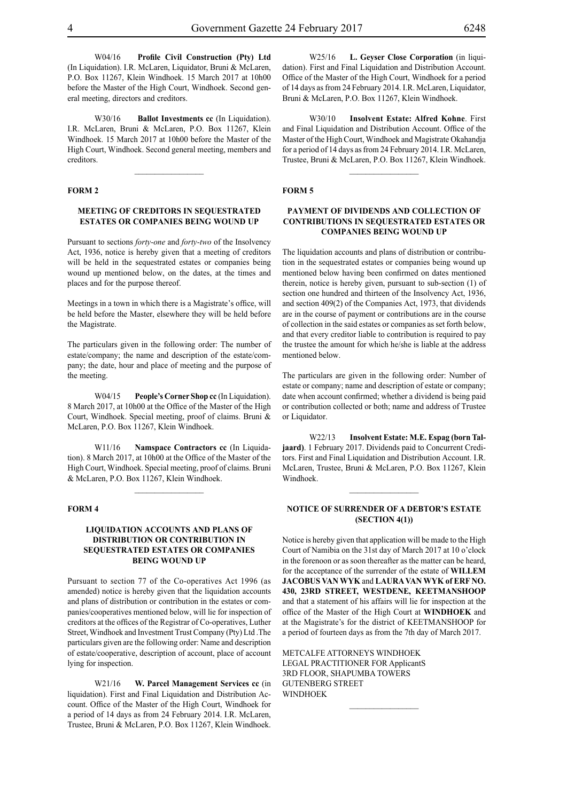W04/16 **Profile Civil Construction (Pty) Ltd**  (In Liquidation). I.R. McLaren, Liquidator, Bruni & McLaren, P.O. Box 11267, Klein Windhoek. 15 March 2017 at 10h00 before the Master of the High Court, Windhoek. Second general meeting, directors and creditors.

W30/16 **Ballot Investments cc** (In Liquidation). I.R. McLaren, Bruni & McLaren, P.O. Box 11267, Klein Windhoek. 15 March 2017 at 10h00 before the Master of the High Court, Windhoek. Second general meeting, members and creditors.

 $\frac{1}{2}$ 

#### **FORM 2**

#### **MEETING OF CREDITORS IN SEQUESTRATED ESTATES OR COMPANIES BEING WOUND UP**

Pursuant to sections *forty-one* and *forty-two* of the Insolvency Act, 1936, notice is hereby given that a meeting of creditors will be held in the sequestrated estates or companies being wound up mentioned below, on the dates, at the times and places and for the purpose thereof.

Meetings in a town in which there is a Magistrate's office, will be held before the Master, elsewhere they will be held before the Magistrate.

The particulars given in the following order: The number of estate/company; the name and description of the estate/company; the date, hour and place of meeting and the purpose of the meeting.

W04/15 **People's Corner Shop** cc (In Liquidation). 8 March 2017, at 10h00 at the Office of the Master of the High Court, Windhoek. Special meeting, proof of claims. Bruni & McLaren, P.O. Box 11267, Klein Windhoek.

W11/16 **Namspace Contractors cc** (In Liquidation). 8 March 2017, at 10h00 at the Office of the Master of the High Court, Windhoek. Special meeting, proof of claims. Bruni & McLaren, P.O. Box 11267, Klein Windhoek.

 $\frac{1}{2}$ 

#### **FORM 4**

#### **LIQUIDATION ACCOUNTS AND PLANS OF DISTRIBUTION OR CONTRIBUTION IN SEQUESTRATED ESTATES OR COMPANIES BEING WOUND UP**

Pursuant to section 77 of the Co-operatives Act 1996 (as amended) notice is hereby given that the liquidation accounts and plans of distribution or contribution in the estates or companies/cooperatives mentioned below, will lie for inspection of creditors at the offices of the Registrar of Co-operatives, Luther Street, Windhoek and Investment Trust Company (Pty) Ltd .The particulars given are the following order: Name and description of estate/cooperative, description of account, place of account lying for inspection.

W21/16 **W. Parcel Management Services cc** (in liquidation). First and Final Liquidation and Distribution Account. Office of the Master of the High Court, Windhoek for a period of 14 days as from 24 February 2014. I.R. McLaren, Trustee, Bruni & McLaren, P.O. Box 11267, Klein Windhoek.

W25/16 **L. Geyser Close Corporation** (in liquidation). First and Final Liquidation and Distribution Account. Office of the Master of the High Court, Windhoek for a period of 14 days as from 24 February 2014. I.R. McLaren, Liquidator, Bruni & McLaren, P.O. Box 11267, Klein Windhoek.

W30/10 **Insolvent Estate: Alfred Kohne**. First and Final Liquidation and Distribution Account. Office of the Master of the High Court, Windhoek and Magistrate Okahandja for a period of 14 days as from 24 February 2014. I.R. McLaren, Trustee, Bruni & McLaren, P.O. Box 11267, Klein Windhoek.

 $\frac{1}{2}$ 

#### **FORM 5**

#### **PAYMENT OF DIVIDENDS AND COLLECTION OF CONTRIBUTIONS IN SEQUESTRATED ESTATES OR COMPANIES BEING WOUND UP**

The liquidation accounts and plans of distribution or contribution in the sequestrated estates or companies being wound up mentioned below having been confirmed on dates mentioned therein, notice is hereby given, pursuant to sub-section (1) of section one hundred and thirteen of the Insolvency Act, 1936, and section 409(2) of the Companies Act, 1973, that dividends are in the course of payment or contributions are in the course of collection in the said estates or companies as set forth below, and that every creditor liable to contribution is required to pay the trustee the amount for which he/she is liable at the address mentioned below.

The particulars are given in the following order: Number of estate or company; name and description of estate or company; date when account confirmed; whether a dividend is being paid or contribution collected or both; name and address of Trustee or Liquidator.

W22/13 **Insolvent Estate: M.E. Espag (born Taljaard)**. 1 February 2017. Dividends paid to Concurrent Creditors. First and Final Liquidation and Distribution Account. I.R. McLaren, Trustee, Bruni & McLaren, P.O. Box 11267, Klein Windhoek.

#### **NOTICE OF SURRENDER OF A DEBTOR'S ESTATE (SECTION 4(1))**

 $\frac{1}{2}$ 

Notice is hereby given that application will be made to the High Court of Namibia on the 31st day of March 2017 at 10 o'clock in the forenoon or as soon thereafter as the matter can be heard, for the acceptance of the surrender of the estate of **WILLEM JACOBUS VAN WYK** and **LAURA VAN WYK of ERF NO. 430, 23RD STREET, WESTDENE, KEETMANSHOOP** and that a statement of his affairs will lie for inspection at the office of the Master of the High Court at **WINDHOEK** and at the Magistrate's for the district of KEETMANSHOOP for a period of fourteen days as from the 7th day of March 2017.

METCALFE ATTORNEYS WINDHOEK LEGAL PRACTITIONER FOR ApplicantS 3RD FLOOR, SHAPUMBA TOWERS GUTENBERG STREET WINDHOEK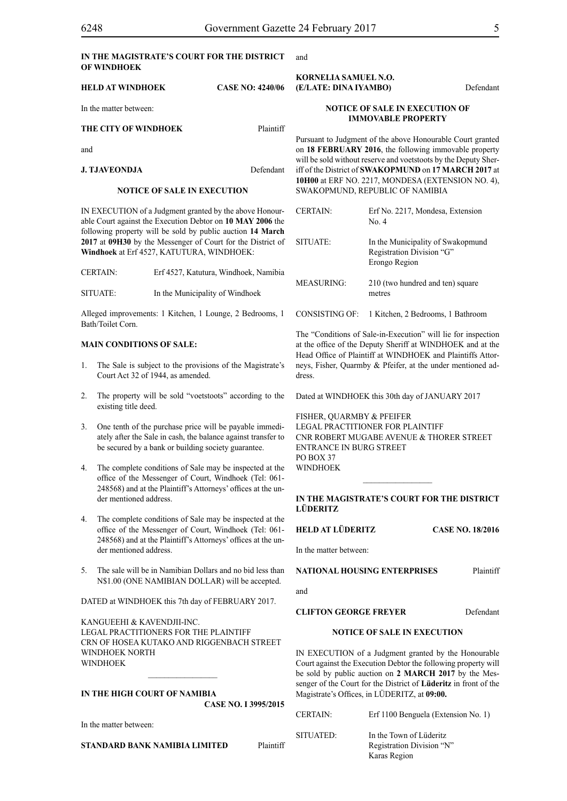| IN THE MAGISTRATE'S COURT FOR THE DISTRICT |  |
|--------------------------------------------|--|
| OF WINDHOEK                                |  |

| <b>HELD AT WINDHOEK</b> | <b>CASE NO: 4240/06</b> | <b>KORNELIA SAMUEL N.O.</b><br>(E/LATE: DINA IYAMBO)                                                                                                                                   | Defendant |
|-------------------------|-------------------------|----------------------------------------------------------------------------------------------------------------------------------------------------------------------------------------|-----------|
| In the matter between:  |                         | <b>NOTICE OF SALE IN EXECUTION OF</b><br><b>IMMOVABLE PROPERTY</b>                                                                                                                     |           |
| THE CITY OF WINDHOEK    | Plaintiff               |                                                                                                                                                                                        |           |
| and                     |                         | Pursuant to Judgment of the above Honourable Court granted<br>on 18 FEBRUARY 2016, the following immovable property<br>will be sold without reserve and voetstoots by the Deputy Sher- |           |
| <b>J. TJAVEONDJA</b>    | Defendant               | iff of the District of <b>SWAKOPMUND</b> on 17 MARCH 2017 at                                                                                                                           |           |

#### **NOTICE OF SALE IN EXECUTION**

IN EXECUTION of a Judgment granted by the above Honourable Court against the Execution Debtor on **10 MAY 2006** the following property will be sold by public auction **14 March 2017** at **09H30** by the Messenger of Court for the District of **Windhoek** at Erf 4527, KATUTURA, WINDHOEK:

CERTAIN: Erf 4527, Katutura, Windhoek, Namibia

SITUATE: In the Municipality of Windhoek

Alleged improvements: 1 Kitchen, 1 Lounge, 2 Bedrooms, 1 Bath/Toilet Corn.

#### **MAIN CONDITIONS OF SALE:**

- 1. The Sale is subject to the provisions of the Magistrate's Court Act 32 of 1944, as amended.
- 2. The property will be sold "voetstoots" according to the existing title deed.
- 3. One tenth of the purchase price will be payable immediately after the Sale in cash, the balance against transfer to be secured by a bank or building society guarantee.
- 4. The complete conditions of Sale may be inspected at the office of the Messenger of Court, Windhoek (Tel: 061- 248568) and at the Plaintiff's Attorneys' offices at the under mentioned address.
- 4. The complete conditions of Sale may be inspected at the office of the Messenger of Court, Windhoek (Tel: 061- 248568) and at the Plaintiff's Attorneys' offices at the under mentioned address.
- 5. The sale will be in Namibian Dollars and no bid less than N\$1.00 (ONE NAMIBIAN DOLLAR) will be accepted.

DATED at WINDHOEK this 7th day of FEBRUARY 2017.

KANGUEEHI & KAVENDJII-INC. Legal Practitioners for the Plaintiff CRN OF HOSEA KUTAKO AND RIGGENBACH STREET WINDHOEK NORTH **WINDHOEK** 

 $\frac{1}{2}$ 

#### **IN THE HIGH COURT OF NAMIBIA CASE No. I 3995/2015**

In the matter between:

**STANDARD BANK NAMIBIA LIMITED** Plaintiff

and

on **18 FEBRUARY 2016**, the following immovable property iff of the District of **SWAKOPMUND** on **17 MARCH 2017** at **10H00** at ERF NO. 2217, MONDESA (EXTENSION NO. 4), SWAKOPMUND, REPUBLIC OF NAMIBIA

| <b>CERTAIN:</b>       | Erf No. 2217, Mondesa, Extension<br>No. 4                                       |
|-----------------------|---------------------------------------------------------------------------------|
| SITUATE:              | In the Municipality of Swakopmund<br>Registration Division "G"<br>Erongo Region |
| <b>MEASURING:</b>     | 210 (two hundred and ten) square<br>metres                                      |
| <b>CONSISTING OF:</b> | 1 Kitchen, 2 Bedrooms, 1 Bathroom                                               |

The "Conditions of Sale-in-Execution" will lie for inspection at the office of the Deputy Sheriff at WINDHOEK and at the Head Office of Plaintiff at WINDHOEK and Plaintiffs Attorneys, Fisher, Quarmby & Pfeifer, at the under mentioned address.

Dated at WINDHOEK this 30th day of JANUARY 2017

FISHER, QUARMBY & PFEIFER LEGAL PRACTITIONER FOR Plaintiff Cnr Robert Mugabe Avenue & Thorer Street Entrance in Burg Street  $PO$  BOX 37 WINDHOEK

#### **IN THE MAGISTRATE'S COURT FOR THE DISTRICT LÜDERITZ**

**HELD AT LÜDERITZ CASE NO. 18/2016**

In the matter between:

**NATIONAL HOUSING ENTERPRISES** Plaintiff

and

#### **CLIFTON GEORGE FREYER** Defendant

#### **NOTICE OF SALE IN EXECUTION**

IN EXECUTION of a Judgment granted by the Honourable Court against the Execution Debtor the following property will be sold by public auction on **2 MARCH 2017** by the Messenger of the Court for the District of **Lüderitz** in front of the Magistrate's Offices, in LÜDERITZ, at **09:00.**

| <b>CERTAIN:</b> | Erf 1100 Benguela (Extension No. 1)                                  |
|-----------------|----------------------------------------------------------------------|
| SITUATED:       | In the Town of Lüderitz<br>Registration Division "N"<br>Karas Region |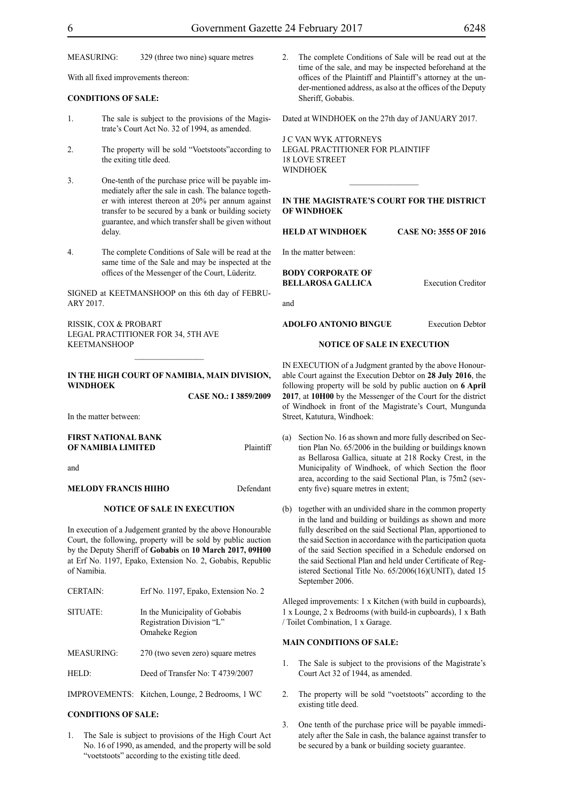MEASURING: 329 (three two nine) square metres

With all fixed improvements thereon:

#### **CONDITIONS OF SALE:**

- 1. The sale is subject to the provisions of the Magistrate's Court Act No. 32 of 1994, as amended.
- 2. The property will be sold "Voetstoots"according to the exiting title deed.
- 3. One-tenth of the purchase price will be payable immediately after the sale in cash. The balance together with interest thereon at 20% per annum against transfer to be secured by a bank or building society guarantee, and which transfer shall be given without delay.
- 4. The complete Conditions of Sale will be read at the same time of the Sale and may be inspected at the offices of the Messenger of the Court, Lüderitz.

SIGNED at KEETMANSHOOP on this 6th day of FEBRU-ARY 2017.

RISSIK, COX & PROBART Legal Practitioner for 34, 5th Ave KEETMANSHOOP

#### **IN THE HIGH COURT OF NAMIBIA, MAIN DIVISION, WINDHOEK**

**CASE NO.: I 3859/2009**

In the matter between:

### **FIRST NATIONAL BANK OF NAMIBIA LIMITED** Plaintiff

and

#### **MELODY FRANCIS HIIHO** Defendant

#### **NOTICE OF SALE IN EXECUTION**

In execution of a Judgement granted by the above Honourable Court, the following, property will be sold by public auction by the Deputy Sheriff of **Gobabis** on **10 March 2017, 09H00**  at Erf No. 1197, Epako, Extension No. 2, Gobabis, Republic of Namibia.

| <b>CERTAIN:</b>   | Erf No. 1197, Epako, Extension No. 2                                          |
|-------------------|-------------------------------------------------------------------------------|
| SITUATE:          | In the Municipality of Gobabis<br>Registration Division "L"<br>Omaheke Region |
| <b>MEASURING:</b> | 270 (two seven zero) square metres                                            |
| HELD:             | Deed of Transfer No: T4739/2007                                               |
|                   |                                                                               |

IMPROVEMENTS: Kitchen, Lounge, 2 Bedrooms, 1 WC

#### **CONDITIONS OF SALE:**

1. The Sale is subject to provisions of the High Court Act No. 16 of 1990, as amended, and the property will be sold "voetstoots" according to the existing title deed.

2. The complete Conditions of Sale will be read out at the time of the sale, and may be inspected beforehand at the offices of the Plaintiff and Plaintiff's attorney at the under-mentioned address, as also at the offices of the Deputy Sheriff, Gobabis.

Dated at WINDHOEK on the 27th day of JANUARY 2017.

J C VAN WYK ATTORNEYS Legal Practitioner for Plaintiff 18 LOVE STREET **WINDHOFK** 

**IN THE MAGISTRATE'S COURT FOR THE DISTRICT OF WINDHOEK**

 $\frac{1}{2}$ 

**HELD AT WINDHOEK CASE NO: 3555 OF 2016**

In the matter between:

**BODY CORPORATE OF BELLAROSA GALLICA** Execution Creditor

and

**ADOLFO ANTONIO BINGUE** Execution Debtor

#### **NOTICE OF SALE IN EXECUTION**

IN EXECUTION of a Judgment granted by the above Honourable Court against the Execution Debtor on **28 July 2016**, the following property will be sold by public auction on **6 April 2017**, at **10H00** by the Messenger of the Court for the district of Windhoek in front of the Magistrate's Court, Mungunda Street, Katutura, Windhoek:

- (a) Section No. 16 as shown and more fully described on Section Plan No. 65/2006 in the building or buildings known as Bellarosa Gallica, situate at 218 Rocky Crest, in the Municipality of Windhoek, of which Section the floor area, according to the said Sectional Plan, is 75m2 (seventy five) square metres in extent;
- (b) together with an undivided share in the common property in the land and building or buildings as shown and more fully described on the said Sectional Plan, apportioned to the said Section in accordance with the participation quota of the said Section specified in a Schedule endorsed on the said Sectional Plan and held under Certificate of Registered Sectional Title No. 65/2006(16)(UNIT), dated 15 September 2006.

Alleged improvements: 1 x Kitchen (with build in cupboards), 1 x Lounge, 2 x Bedrooms (with build-in cupboards), 1 x Bath / Toilet Combination, 1 x Garage.

#### **MAIN CONDITIONS OF SALE:**

- 1. The Sale is subject to the provisions of the Magistrate's Court Act 32 of 1944, as amended.
- 2. The property will be sold "voetstoots" according to the existing title deed.
- 3. One tenth of the purchase price will be payable immediately after the Sale in cash, the balance against transfer to be secured by a bank or building society guarantee.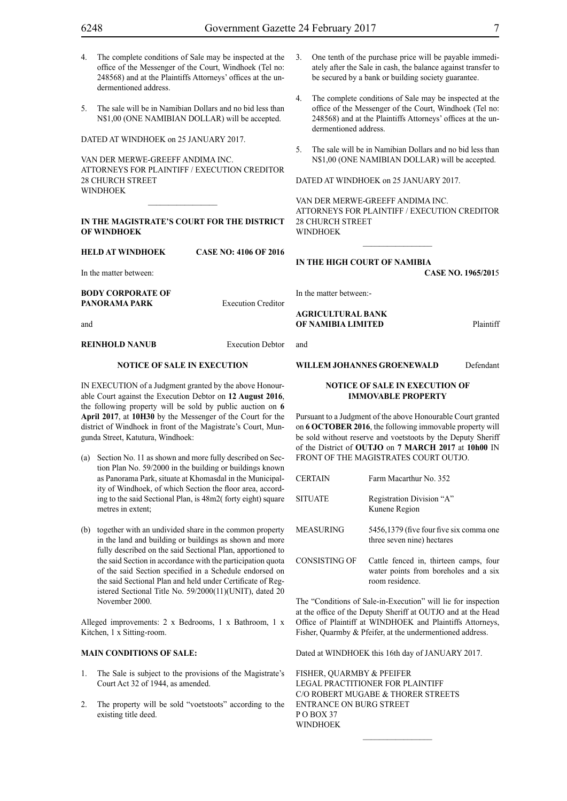- 4. The complete conditions of Sale may be inspected at the office of the Messenger of the Court, Windhoek (Tel no: 248568) and at the Plaintiffs Attorneys' offices at the undermentioned address.
- 5. The sale will be in Namibian Dollars and no bid less than N\$1,00 (ONE NAMIBIAN DOLLAR) will be accepted.

DATED AT WINDHOEK on 25 JANUARY 2017.

VAN DER MERWE-GREEFF ANDIMA INC. ATTORNEYS FOR Plaintiff / Execution Creditor 28 CHURCH STREET WINDHOEK

#### **IN THE MAGISTRATE'S COURT FOR THE DISTRICT OF WINDHOEK**

**HELD AT WINDHOEK CASE NO: 4106 OF 2016**

In the matter between:

**BODY CORPORATE OF PANORAMA PARK** Execution Creditor

and

**REINHOLD NANUB** Execution Debtor

#### **NOTICE OF SALE IN EXECUTION**

IN EXECUTION of a Judgment granted by the above Honourable Court against the Execution Debtor on **12 August 2016**, the following property will be sold by public auction on **6 April 2017**, at **10H30** by the Messenger of the Court for the district of Windhoek in front of the Magistrate's Court, Mungunda Street, Katutura, Windhoek:

- (a) Section No. 11 as shown and more fully described on Section Plan No. 59/2000 in the building or buildings known as Panorama Park, situate at Khomasdal in the Municipality of Windhoek, of which Section the floor area, according to the said Sectional Plan, is 48m2( forty eight) square metres in extent;
- (b) together with an undivided share in the common property in the land and building or buildings as shown and more fully described on the said Sectional Plan, apportioned to the said Section in accordance with the participation quota of the said Section specified in a Schedule endorsed on the said Sectional Plan and held under Certificate of Registered Sectional Title No. 59/2000(11)(UNIT), dated 20 November 2000.

Alleged improvements: 2 x Bedrooms, 1 x Bathroom, 1 x Kitchen, 1 x Sitting-room.

#### **MAIN CONDITIONS OF SALE:**

- 1. The Sale is subject to the provisions of the Magistrate's Court Act 32 of 1944, as amended.
- 2. The property will be sold "voetstoots" according to the existing title deed.
- 3. One tenth of the purchase price will be payable immediately after the Sale in cash, the balance against transfer to be secured by a bank or building society guarantee.
- 4. The complete conditions of Sale may be inspected at the office of the Messenger of the Court, Windhoek (Tel no: 248568) and at the Plaintiffs Attorneys' offices at the undermentioned address.
- 5. The sale will be in Namibian Dollars and no bid less than N\$1,00 (ONE NAMIBIAN DOLLAR) will be accepted.

DATED AT WINDHOEK on 25 JANUARY 2017.

VAN DER MERWE-GREEFF ANDIMA INC. ATTORNEYS FOR Plaintiff / Execution Creditor 28 CHURCH STREET WINDHOEK

 $\frac{1}{2}$ 

**IN THE HIGH COURT OF NAMIBIA**

**CASE No. 1965/201**5

In the matter between:-

**AGRICULTURAL BANK OF NAMIBIA LIMITED** Plaintiff

and

WILLEM JOHANNES GROENEWALD Defendant

#### **NOTICE OF SALE IN EXECUTION OF IMMOVABLE PROPERTY**

Pursuant to a Judgment of the above Honourable Court granted on **6 OCTOBER 2016**, the following immovable property will be sold without reserve and voetstoots by the Deputy Sheriff of the District of **OUTJO** on **7 MARCH 2017** at **10h00** IN FRONT OF THE MAGISTRATES COURT OUTJO.

CERTAIN Farm Macarthur No. 352

SITUATE Registration Division "A" Kunene Region

- MEASURING 5456,1379 (five four five six comma one three seven nine) hectares
- CONSISTING OF Cattle fenced in, thirteen camps, four water points from boreholes and a six room residence.

The "Conditions of Sale-in-Execution" will lie for inspection at the office of the Deputy Sheriff at OUTJO and at the Head Office of Plaintiff at WINDHOEK and Plaintiffs Attorneys, Fisher, Quarmby & Pfeifer, at the undermentioned address.

Dated at WINDHOEK this 16th day of JANUARY 2017.

FISHER, QUARMBY & PFEIFER LEGAL PRACTITIONER FOR Plaintiff c/o Robert Mugabe & Thorer Streets entrance on Burg Street P O BOX 37 **WINDHOFK**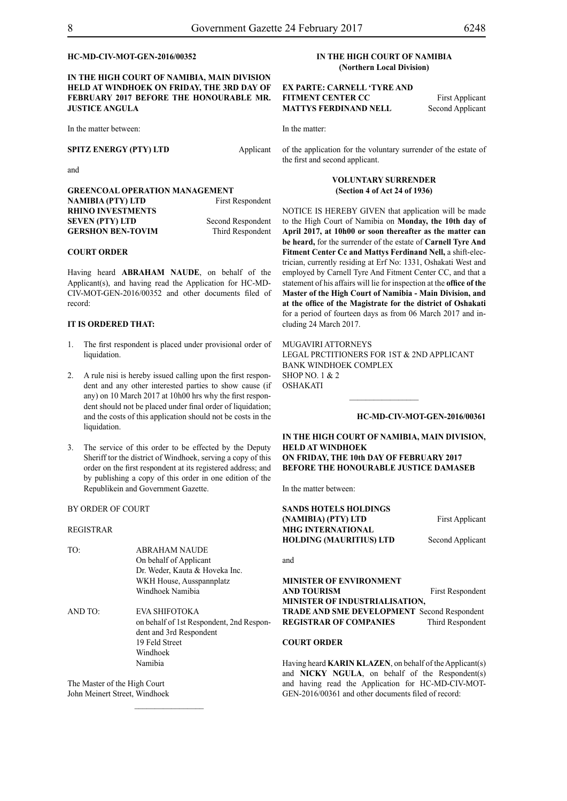#### **HC-MD-CIV-MOT-GEN-2016/00352**

**IN THE HIGH COURT OF NAMIBIA, MAIN DIVISION HELD AT WINDHOEK ON FRIDAY, THE 3RD DAY OF FEBRUARY 2017 BEFORE THE HONOURABLE MR. JUSTICE ANGULA**

In the matter between:

**SPITZ ENERGY (PTY) LTD** Applicant

and

| <b>GREENCOAL OPERATION MANAGEMENT</b> |                   |
|---------------------------------------|-------------------|
| <b>NAMIBIA (PTY) LTD</b>              | First Respondent  |
| <b>RHINO INVESTMENTS</b>              |                   |
| <b>SEVEN (PTY) LTD</b>                | Second Respondent |
| <b>GERSHON BEN-TOVIM</b>              | Third Respondent  |

#### **COURT ORDER**

Having heard **ABRAHAM NAUDE**, on behalf of the Applicant(s), and having read the Application for HC-MD-CIV-MOT-GEN-2016/00352 and other documents filed of record:

#### **IT IS ORDERED THAT:**

- 1. The first respondent is placed under provisional order of liquidation.
- 2. A rule nisi is hereby issued calling upon the first respondent and any other interested parties to show cause (if any) on 10 March 2017 at 10h00 hrs why the first respondent should not be placed under final order of liquidation; and the costs of this application should not be costs in the liquidation.
- 3. The service of this order to be effected by the Deputy Sheriff tor the district of Windhoek, serving a copy of this order on the first respondent at its registered address; and by publishing a copy of this order in one edition of the Republikein and Government Gazette.

#### BY ORDER OF COURT

#### REGISTRAR

| TO:     | <b>ABRAHAM NAUDE</b>                     |
|---------|------------------------------------------|
|         | On behalf of Applicant                   |
|         | Dr. Weder, Kauta & Hoveka Inc.           |
|         | WKH House, Ausspannplatz                 |
|         | Windhoek Namibia                         |
| AND TO: | EVA SHIFOTOKA                            |
|         | on behalf of 1st Respondent, 2nd Respon- |
|         | dent and 3rd Respondent                  |
|         | 19 Feld Street                           |
|         | Windhoek                                 |
|         | Namibia                                  |
|         |                                          |

 $\frac{1}{2}$ 

The Master of the High Court John Meinert Street, Windhoek

#### **IN THE HIGH COURT OF NAMIBIA (Northern Local Division)**

**EX PARTE: CARNELL 'TYRE AND FITMENT CENTER CC** First Applicant **MATTYS FERDINAND NELL** Second Applicant

In the matter:

of the application for the voluntary surrender of the estate of the first and second applicant.

#### **VOLUNTARY SURRENDER (Section 4 of Act 24 of 1936)**

NOTICE IS HEREBY GIVEN that application will be made to the High Court of Namibia on **Monday, the 10th day of April 2017, at 10h00 or soon thereafter as the matter can be heard,** for the surrender of the estate of **Carnell Tyre And Fitment Center Cc and Mattys Ferdinand Nell,** a shift-electrician, currently residing at Erf No: 1331, Oshakati West and employed by Carnell Tyre And Fitment Center CC, and that a statement of his affairs will lie for inspection at the **office of the Master of the High Court of Namibia - Main Division, and at the office of the Magistrate for the district of Oshakati** for a period of fourteen days as from 06 March 2017 and including 24 March 2017.

MUGAVIRI ATTORNEYS Legal Prctitioners for 1st & 2nd Applicant Bank Windhoek Complex Shop No. 1 & 2 OSHAKATI

**HC-MD-CIV-MOT-GEN-2016/00361**

**IN THE HIGH COURT OF NAMIBIA, MAIN DIVISION, HELD AT WINDHOEK ON FRIDAY, THE 10th DAY OF FEBRUARY 2017 BEFORE THE HONOURABLE JUSTICE DAMASEB**

 $\frac{1}{2}$ 

In the matter between:

| SANDS HOTELS HOLDINGS                              |                         |
|----------------------------------------------------|-------------------------|
| (NAMIBIA) (PTY) LTD                                | First Applicant         |
| <b>MHG INTERNATIONAL</b>                           |                         |
| <b>HOLDING (MAURITIUS) LTD</b>                     | Second Applicant        |
|                                                    |                         |
| and                                                |                         |
|                                                    |                         |
| <b>MINISTER OF ENVIRONMENT</b>                     |                         |
| <b>AND TOURISM</b>                                 | <b>First Respondent</b> |
| <b>MINISTER OF INDUSTRIALISATION,</b>              |                         |
| <b>TRADE AND SME DEVELOPMENT Second Respondent</b> |                         |
| <b>REGISTRAR OF COMPANIES</b>                      | Third Respondent        |
|                                                    |                         |
|                                                    |                         |

#### **COURT ORDER**

Having heard **KARIN KLAZEN**, on behalf of the Applicant(s) and **NICKY NGULA**, on behalf of the Respondent(s) and having read the Application for HC-MD-CIV-MOT-GEN-2016/00361 and other documents filed of record: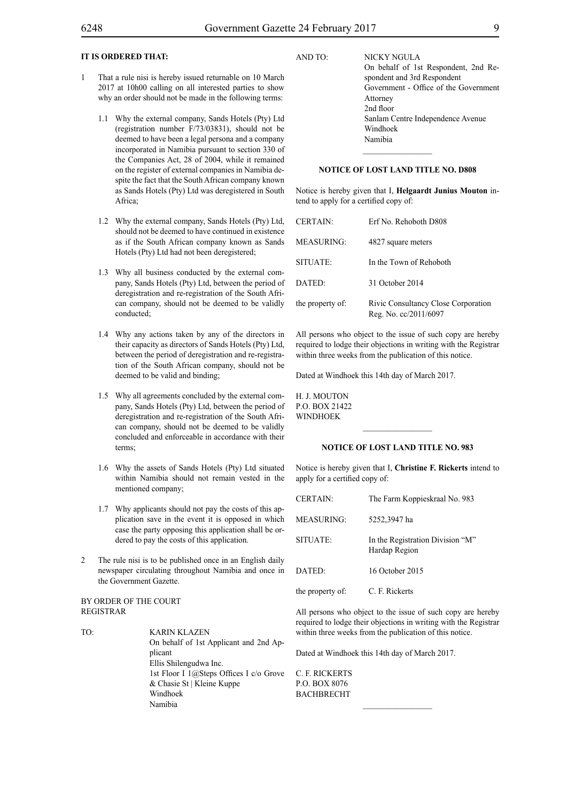#### **IT IS ORDERED THAT:**

- 1 That a rule nisi is hereby issued returnable on 10 March 2017 at 10h00 calling on all interested parties to show why an order should not be made in the following terms:
	- 1.1 Why the external company, Sands Hotels (Pty) Ltd (registration number F/73/03831), should not be deemed to have been a legal persona and a company incorporated in Namibia pursuant to section 330 of the Companies Act, 28 of 2004, while it remained on the register of external companies in Namibia despite the fact that the South African company known as Sands Hotels (Pty) Ltd was deregistered in South Africa;
	- 1.2 Why the external company, Sands Hotels (Pty) Ltd, should not be deemed to have continued in existence as if the South African company known as Sands Hotels (Pty) Ltd had not been deregistered;
	- 1.3 Why all business conducted by the external company, Sands Hotels (Pty) Ltd, between the period of deregistration and re-registration of the South African company, should not be deemed to be validly conducted;
	- 1.4 Why any actions taken by any of the directors in their capacity as directors of Sands Hotels (Pty) Ltd, between the period of deregistration and re-registration of the South African company, should not be deemed to be valid and binding;
	- 1.5 Why all agreements concluded by the external company, Sands Hotels (Pty) Ltd, between the period of deregistration and re-registration of the South African company, should not be deemed to be validly concluded and enforceable in accordance with their terms;
	- 1.6 Why the assets of Sands Hotels (Pty) Ltd situated within Namibia should not remain vested in the mentioned company;
	- 1.7 Why applicants should not pay the costs of this application save in the event it is opposed in which case the party opposing this application shall be ordered to pay the costs of this application.
- 2 The rule nisi is to be published once in an English daily newspaper circulating throughout Namibia and once in the Government Gazette.

#### BY ORDER OF THE COURT REGISTRAR

TO: KARIN KLAZEN On behalf of 1st Applicant and 2nd Applicant Ellis Shilengudwa Inc. 1st Floor I 1@Steps Offices I c/o Grove & Chasie St | Kleine Kuppe Windhoek Namibia

AND TO: NICKY NGULA On behalf of 1st Respondent, 2nd Respondent and 3rd Respondent Government - Office of the Government Attorney 2nd floor Sanlam Centre Independence Avenue Windhoek Namibia

#### **NOTICE OF LOST LAND TITLE NO. D808**

Notice is hereby given that I, **Helgaardt Junius Mouton** intend to apply for a certified copy of:

| <b>CERTAIN:</b>  | Erf No. Rehoboth D808                                        |
|------------------|--------------------------------------------------------------|
| MEASURING:       | 4827 square meters                                           |
| SITUATE:         | In the Town of Rehoboth                                      |
| DATED:           | 31 October 2014                                              |
| the property of: | Rivic Consultancy Close Corporation<br>Reg. No. cc/2011/6097 |

All persons who object to the issue of such copy are hereby required to lodge their objections in writing with the Registrar within three weeks from the publication of this notice.

Dated at Windhoek this 14th day of March 2017.

H. J. MOUTON p.o. box 21422 **WINDHOEK** 

#### **NOTICE OF LOST LAND TITLE NO. 983**

Notice is hereby given that I, **Christine F. Rickerts** intend to apply for a certified copy of:

| <b>CERTAIN:</b>   | The Farm Koppieskraal No. 983                     |
|-------------------|---------------------------------------------------|
| <b>MEASURING:</b> | 5252,3947 ha                                      |
| SITUATE:          | In the Registration Division "M"<br>Hardap Region |
| DATED:            | 16 October 2015                                   |
| the property of:  | C. F. Rickerts                                    |

All persons who object to the issue of such copy are hereby required to lodge their objections in writing with the Registrar within three weeks from the publication of this notice.

Dated at Windhoek this 14th day of March 2017.

C. F. Rickerts p.o. box 8076 **BACHBRECHT**